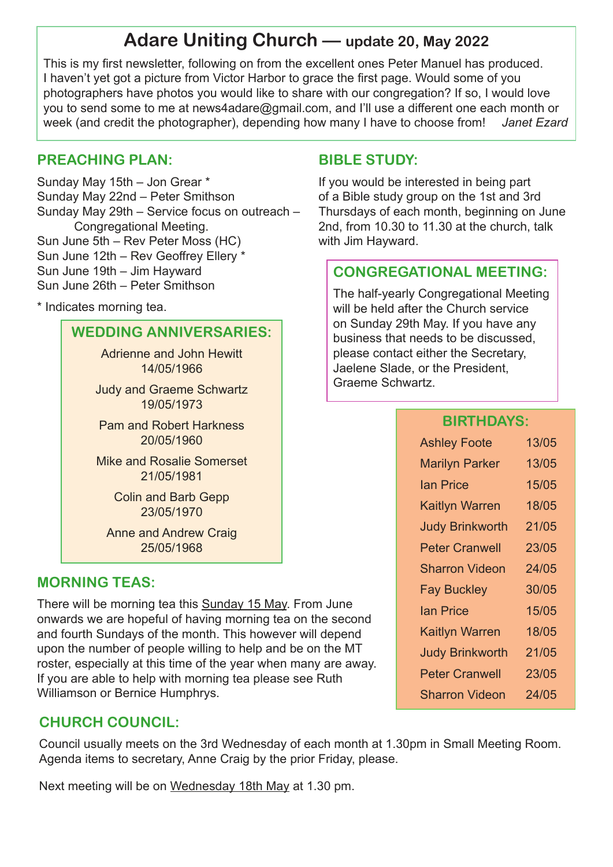# **Adare Uniting Church — update 20, May 2022**

This is my first newsletter, following on from the excellent ones Peter Manuel has produced. I haven't yet got a picture from Victor Harbor to grace the first page. Would some of you photographers have photos you would like to share with our congregation? If so, I would love you to send some to me at news4adare@gmail.com, and I'll use a different one each month or week (and credit the photographer), depending how many I have to choose from! *Janet Ezard*

### **PREACHING PLAN:**

Sunday May 15th – Jon Grear \* Sunday May 22nd – Peter Smithson Sunday May 29th – Service focus on outreach – Congregational Meeting. Sun June 5th – Rev Peter Moss (HC) Sun June 12th – Rev Geoffrey Ellery \* Sun June 19th – Jim Hayward Sun June 26th – Peter Smithson

\* Indicates morning tea.

### **WEDDING ANNIVERSARIES:**

Adrienne and John Hewitt 14/05/1966

Judy and Graeme Schwartz 19/05/1973

Pam and Robert Harkness 20/05/1960

Mike and Rosalie Somerset 21/05/1981

> Colin and Barb Gepp 23/05/1970

Anne and Andrew Craig 25/05/1968

### **MORNING TEAS:**

There will be morning tea this Sunday 15 May. From June onwards we are hopeful of having morning tea on the second and fourth Sundays of the month. This however will depend upon the number of people willing to help and be on the MT roster, especially at this time of the year when many are away. If you are able to help with morning tea please see Ruth Williamson or Bernice Humphrys.

## **CHURCH COUNCIL:**

Council usually meets on the 3rd Wednesday of each month at 1.30pm in Small Meeting Room. Agenda items to secretary, Anne Craig by the prior Friday, please.

Next meeting will be on Wednesday 18th May at 1.30 pm.

### **BIBLE STUDY:**

If you would be interested in being part of a Bible study group on the 1st and 3rd Thursdays of each month, beginning on June 2nd, from 10.30 to 11.30 at the church, talk with Jim Hayward.

### **CONGREGATIONAL MEETING:**

The half-yearly Congregational Meeting will be held after the Church service on Sunday 29th May. If you have any business that needs to be discussed, please contact either the Secretary, Jaelene Slade, or the President, Graeme Schwartz.

### **BIRTHDAYS:**

| <b>Ashley Foote</b>    | 13/05 |
|------------------------|-------|
| <b>Marilyn Parker</b>  | 13/05 |
| <b>lan Price</b>       | 15/05 |
| <b>Kaitlyn Warren</b>  | 18/05 |
| <b>Judy Brinkworth</b> | 21/05 |
| <b>Peter Cranwell</b>  | 23/05 |
| <b>Sharron Videon</b>  | 24/05 |
| <b>Fay Buckley</b>     | 30/05 |
| <b>Ian Price</b>       | 15/05 |
| <b>Kaitlyn Warren</b>  | 18/05 |
| <b>Judy Brinkworth</b> | 21/05 |
| <b>Peter Cranwell</b>  | 23/05 |
| <b>Sharron Videon</b>  | 24/05 |